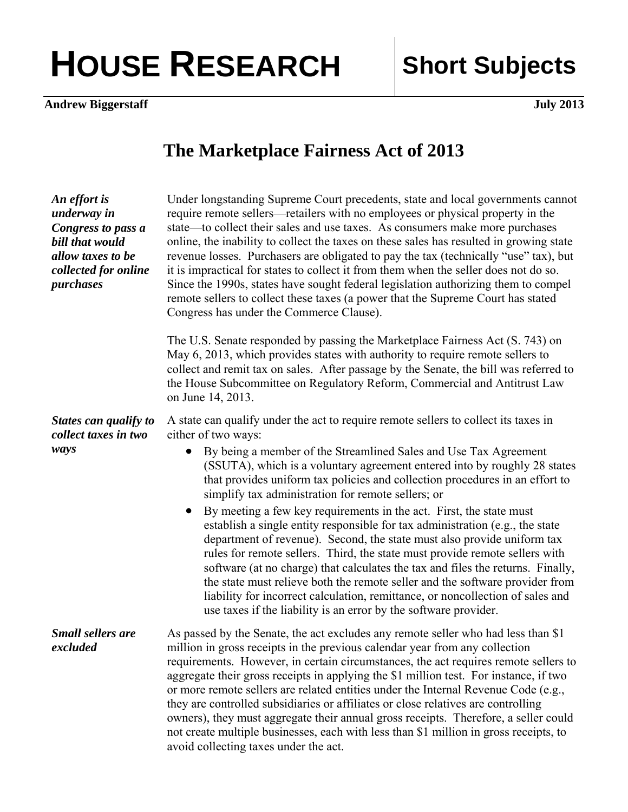## HOUSE RESEARCH Short Subjects

**Andrew Biggerstaff** July 2013

## **The Marketplace Fairness Act of 2013**

| An effort is<br>underway in<br>Congress to pass a<br>bill that would<br>allow taxes to be<br>collected for online<br>purchases | Under longstanding Supreme Court precedents, state and local governments cannot<br>require remote sellers—retailers with no employees or physical property in the<br>state—to collect their sales and use taxes. As consumers make more purchases<br>online, the inability to collect the taxes on these sales has resulted in growing state<br>revenue losses. Purchasers are obligated to pay the tax (technically "use" tax), but<br>it is impractical for states to collect it from them when the seller does not do so.<br>Since the 1990s, states have sought federal legislation authorizing them to compel<br>remote sellers to collect these taxes (a power that the Supreme Court has stated<br>Congress has under the Commerce Clause).   |
|--------------------------------------------------------------------------------------------------------------------------------|------------------------------------------------------------------------------------------------------------------------------------------------------------------------------------------------------------------------------------------------------------------------------------------------------------------------------------------------------------------------------------------------------------------------------------------------------------------------------------------------------------------------------------------------------------------------------------------------------------------------------------------------------------------------------------------------------------------------------------------------------|
|                                                                                                                                | The U.S. Senate responded by passing the Marketplace Fairness Act (S. 743) on<br>May 6, 2013, which provides states with authority to require remote sellers to<br>collect and remit tax on sales. After passage by the Senate, the bill was referred to<br>the House Subcommittee on Regulatory Reform, Commercial and Antitrust Law<br>on June 14, 2013.                                                                                                                                                                                                                                                                                                                                                                                           |
| States can qualify to<br>collect taxes in two<br>ways                                                                          | A state can qualify under the act to require remote sellers to collect its taxes in<br>either of two ways:<br>By being a member of the Streamlined Sales and Use Tax Agreement<br>$\bullet$<br>(SSUTA), which is a voluntary agreement entered into by roughly 28 states<br>that provides uniform tax policies and collection procedures in an effort to<br>simplify tax administration for remote sellers; or<br>By meeting a few key requirements in the act. First, the state must<br>$\bullet$                                                                                                                                                                                                                                                   |
|                                                                                                                                | establish a single entity responsible for tax administration (e.g., the state<br>department of revenue). Second, the state must also provide uniform tax<br>rules for remote sellers. Third, the state must provide remote sellers with<br>software (at no charge) that calculates the tax and files the returns. Finally,<br>the state must relieve both the remote seller and the software provider from<br>liability for incorrect calculation, remittance, or noncollection of sales and<br>use taxes if the liability is an error by the software provider.                                                                                                                                                                                     |
| <b>Small sellers are</b><br>excluded                                                                                           | As passed by the Senate, the act excludes any remote seller who had less than \$1<br>million in gross receipts in the previous calendar year from any collection<br>requirements. However, in certain circumstances, the act requires remote sellers to<br>aggregate their gross receipts in applying the \$1 million test. For instance, if two<br>or more remote sellers are related entities under the Internal Revenue Code (e.g.,<br>they are controlled subsidiaries or affiliates or close relatives are controlling<br>owners), they must aggregate their annual gross receipts. Therefore, a seller could<br>not create multiple businesses, each with less than \$1 million in gross receipts, to<br>avoid collecting taxes under the act. |